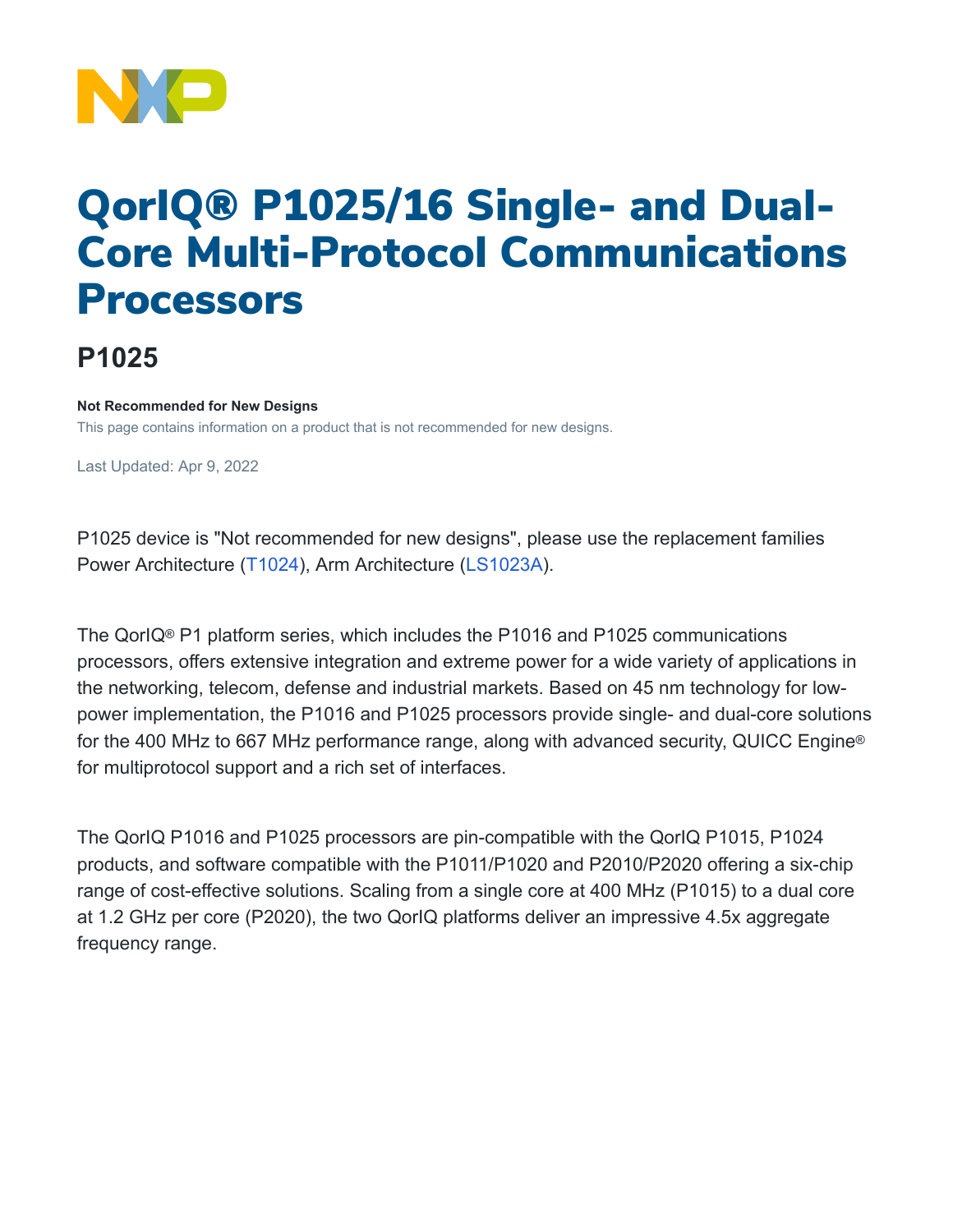

# QorIQ® P1025/16 Single- and Dual-Core Multi-Protocol Communications Processors

## **P1025**

#### **Not Recommended for New Designs**

This page contains information on a product that is not recommended for new designs.

Last Updated: Apr 9, 2022

P1025 device is "Not recommended for new designs", please use the replacement families Power Architecture [\(T1024](https://www.nxp.com/products/processors-and-microcontrollers/power-architecture/qoriq-communication-processors/t-series/qoriq-t1024-14-and-t1023-13-dual-and-single-core-communications-processors:T1024)), Arm Architecture [\(LS1023A\)](https://www.nxp.com/products/processors-and-microcontrollers/arm-processors/layerscape-processors/layerscape-1043a-and-1023a-processors:LS1043A).

The QorIQ® P1 platform series, which includes the P1016 and P1025 communications processors, offers extensive integration and extreme power for a wide variety of applications in the networking, telecom, defense and industrial markets. Based on 45 nm technology for lowpower implementation, the P1016 and P1025 processors provide single- and dual-core solutions for the 400 MHz to 667 MHz performance range, along with advanced security, QUICC Engine® for multiprotocol support and a rich set of interfaces.

The QorIQ P1016 and P1025 processors are pin-compatible with the QorIQ P1015, P1024 products, and software compatible with the P1011/P1020 and P2010/P2020 offering a six-chip range of cost-effective solutions. Scaling from a single core at 400 MHz (P1015) to a dual core at 1.2 GHz per core (P2020), the two QorIQ platforms deliver an impressive 4.5x aggregate frequency range.